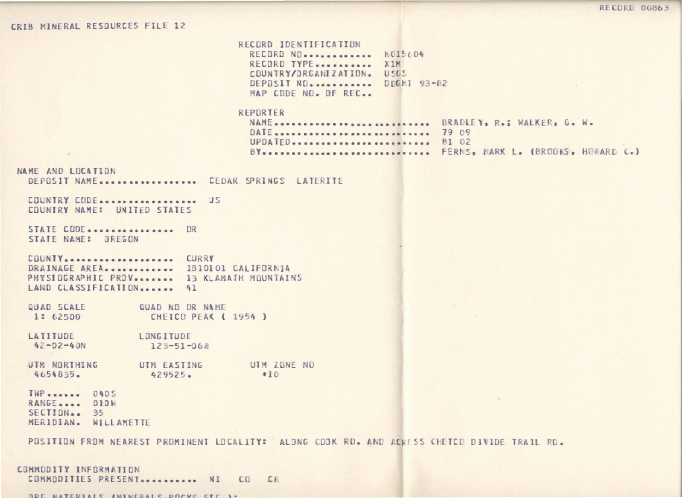## CRIB MINERAL RESOlRCES FILE 12

RECORD IDENTIFICATION<br>RECORD NO. ............. 8015604 RECORD TYPE•••••••••••••••• X1M<br>COUNTRY/ORGANIZATION••• USGS COUNTRY/JRGANIZATION. DEPOSIT NO............ DDGMI 93-82 MAP CODE NO. OF REC..

| REPORTER                         |                                       |
|----------------------------------|---------------------------------------|
| NAME  BRADLEY, R.; WALKER, G. W. |                                       |
| DATE  79 09                      |                                       |
| UPDATED  81 02                   |                                       |
|                                  | BY FERNS, MARK L. (BROOKS, HOWARD C.) |

**NAME AND LOCATION** DEPOSIT NAME................... CEDAR SPRINGS LATERITE

C0LNTRY CODE••••••••••~•••••• JS COUNTRY NAME: UNITED STATES

STATE CODE••••••••••••••••••• OR STATE NAME: GREGON

COUNTY ••••••••••••••••••• CURR <sup>Y</sup> DRAINAGE AREA............ 1810101 CALIFORNIA PHYSIOGRAPHIC PRDV....... 13 KLAMATH MOUNTAINS LAND CLASSIFICATION ...... 41

QUAD SCALE QUAD NO OR NAME 1: 62500 CHETCO PEAK (1954)

**LATITUDE**  $42 - 02 - 40N$ LONGITUDE  $123 - 51 - 060$ 

UTM NORTHING UTM EASTING UTM ZONE NO 4654835 . 429525.  $+10$ 

THP •••••••••• 0405 RANGE.... 010W SECTION.. 35 MERIDIAN. WILLAMETTE

POSITION FROM NEAREST PROMINENT LOCALITY: ALONG COOK RD. AND ACRESS CHETCO DIVIDE TRAIL RD.

## COMMODITY INFORMATION

COMMODITIES PRESENT••••••••••••• NI CO. CR

 $\eta$ DE MATCOTALE (MINCOALE DOCKE ETC. 1.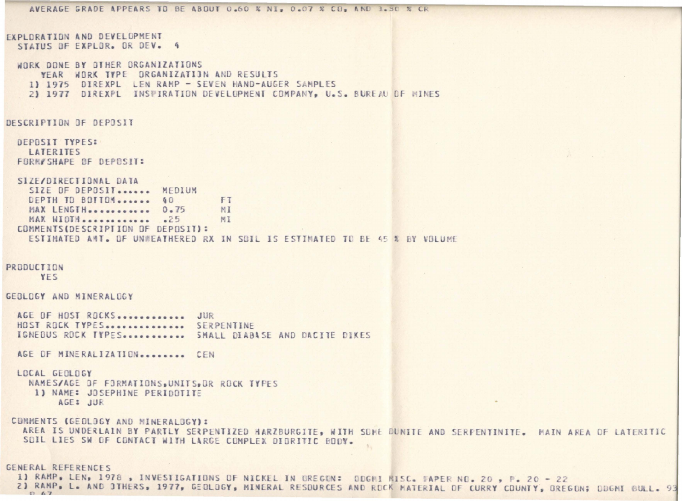```
AVERAGE GRADE APPEARS TO BE ABOUT 0.60 % NI, 0.07 % CO, AND 1.30 % CR
EXPLORATION AND DEVELOPMENT
  STATUS OF EXPLOR. OR DEV. 4
  WORK DONE BY OTHER ORGANIZATIONS
      YEAR WORK TYPE ORGANIZATION AND RESULTS
    1) 1975 DIREXPL LEN RAMP - SEVEN HAND-AUGER SAMPLES
    21 1977 DIREXPL INSUIRATION DEVELOPMENT COMPANY, U.S. BUREAU OF WINES
DESCRIPTION OF DEPOSIT
  DEPOSIT TYPES:
   LATERITES
  FORM/SHAPE OF DEPOSIT:
  SIZE/DIRECTIONAL DATA
    SIZE OF DEPOSIT....... MEDIUM
    DEPTH TO BOTTOM....... 40
                                     FT
   MAX LENGTH ........... 0.75
                                     MI
    MAX WIDTH ............. .25
                                     MI
  COMMENTS (DESCRIPTION OF DEPOSIT):
    ESTIMATED ANT. OF UNWEATHERED RX IN SOIL IS ESTIMATED TO BE 45 % BY VOLUME
PRODUCTION
      YES
GEBLOGY AND MINERALDGY
  AGE OF HOST ROCKS.............. JUR
  HOST ROCK TYPES ............... SERPENTINE
  IGNEDUS ROCK TYPES............... SMALL DIABASE AND DACITE DIKES
  AGE OF MINERALIZATION......... CEN
  LOCAL GEOLOGY
    NAMES/AGE OF FORMATIONS, UNITS, OR ROCK TYPES
    1) NAME: JOSEPHINE PERIDOTITE
         AGE: JUR
 COMMENTS (GEOLOGY AND MINERALOGY):
  AREA IS UNDERLAIN BY PARTLY SERPENTIZED HARZBURGITE, WITH SOME DUNITE AND SERPENTINITE. MAIN AREA OF LATERITIC
   SOIL LIES SW OF CONTACT WITH LARGE COMPLEX DIORITIC BODY.
GENERAL REFERENCES
 1) RAMP, LEN, 1978, INVESTIGATIONS OF NICKEL IN OREGON: ODGMI MISC. MAPER NO. 20, P. 20 - 22
```
 $D<sub>67</sub>$ 

2) RAMP, L. AND JTHERS, 1977, GEOLOGY, MINERAL RESOURCES AND ROCK MATERIAL OF CURRY COUNTY, OREGON; ODGMI BULL. 93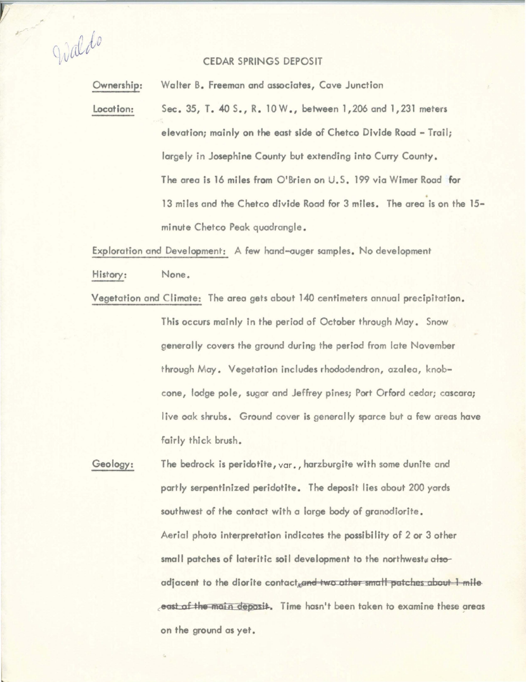Waldo

,,

## CEDAR SPRINGS DEPOSIT

Ownership: Walter B. Freeman and associates, Cave Junction

location: Sec. 35, T. 40 S., R. l0W., between 1,206 and 1,231 meters elevation; mainly on the east side of Chetco Divide Road - Trail; largely in Josephine County but extending into Curry County. The area is 16 miles from O'Brien on U.S. 199 via Wimer Road for • 13 miles and the Chetco divide Road for 3 miles. The area is on the 15 minute Chetco Peak quadrangle.

Exploration and Development: A few hand-auger samples. No development

History: None.

Vegetation and Climate: The area gets about 140 centimeters annual precipitation. This occurs mainly in the period of October through May. Snow generally covers the ground during the period from late November through May. Vegetation includes rhododendron, azalea, knobcone, lodge pole, sugar and Jeffrey pines; Port Orford cedar; cascara; live oak shrubs. Ground cover is generally sparce but a few areas have fairly thick brush.

Geology: The bedrock is peridotite, var., harzburgite with some dunite and portly serpentlnized peridotite. The **deposit** lies about 200 yards southwest of the contact with a large body of gronodiorite. Aerial photo interpretation indicates the possibility of 2 or 3 other small patches of lateritic soil development to the northweste alsoadjacent to the diorite contact and two other small patches about 1 mile e<del>ast of the main deposit</del>. Time hasn't been taken to examine these areas on the ground as yet.